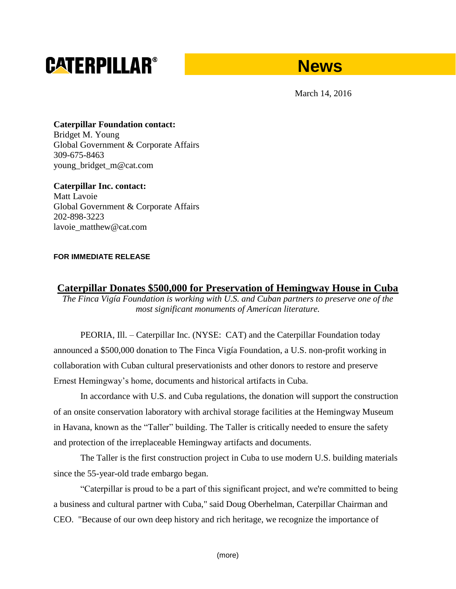# **CATERPILLAR®**

## **News**

March 14, 2016

**Caterpillar Foundation contact:** Bridget M. Young Global Government & Corporate Affairs 309-675-8463 young\_bridget\_m@cat.com

**Caterpillar Inc. contact:** Matt Lavoie Global Government & Corporate Affairs 202-898-3223 lavoie\_matthew@cat.com

#### **FOR IMMEDIATE RELEASE**

### **Caterpillar Donates \$500,000 for Preservation of Hemingway House in Cuba**

*The Finca Vigía Foundation is working with U.S. and Cuban partners to preserve one of the most significant monuments of American literature.* 

PEORIA, Ill. – Caterpillar Inc. (NYSE: CAT) and the Caterpillar Foundation today announced a \$500,000 donation to The Finca Vigía Foundation, a U.S. non-profit working in collaboration with Cuban cultural preservationists and other donors to restore and preserve Ernest Hemingway's home, documents and historical artifacts in Cuba.

In accordance with U.S. and Cuba regulations, the donation will support the construction of an onsite conservation laboratory with archival storage facilities at the Hemingway Museum in Havana, known as the "Taller" building. The Taller is critically needed to ensure the safety and protection of the irreplaceable Hemingway artifacts and documents.

The Taller is the first construction project in Cuba to use modern U.S. building materials since the 55-year-old trade embargo began.

"Caterpillar is proud to be a part of this significant project, and we're committed to being a business and cultural partner with Cuba," said Doug Oberhelman, Caterpillar Chairman and CEO. "Because of our own deep history and rich heritage, we recognize the importance of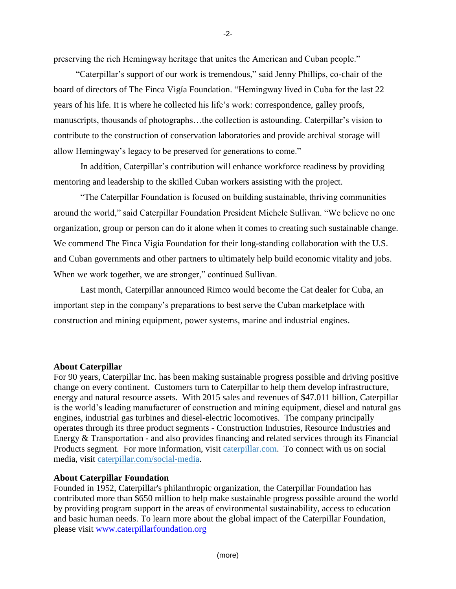preserving the rich Hemingway heritage that unites the American and Cuban people."

 "Caterpillar's support of our work is tremendous," said Jenny Phillips, co-chair of the board of directors of The Finca Vigía Foundation. "Hemingway lived in Cuba for the last 22 years of his life. It is where he collected his life's work: correspondence, galley proofs, manuscripts, thousands of photographs…the collection is astounding. Caterpillar's vision to contribute to the construction of conservation laboratories and provide archival storage will allow Hemingway's legacy to be preserved for generations to come."

In addition, Caterpillar's contribution will enhance workforce readiness by providing mentoring and leadership to the skilled Cuban workers assisting with the project.

"The Caterpillar Foundation is focused on building sustainable, thriving communities around the world," said Caterpillar Foundation President Michele Sullivan. "We believe no one organization, group or person can do it alone when it comes to creating such sustainable change. We commend The Finca Vigía Foundation for their long-standing collaboration with the U.S. and Cuban governments and other partners to ultimately help build economic vitality and jobs. When we work together, we are stronger," continued Sullivan.

Last month, Caterpillar announced Rimco would become the Cat dealer for Cuba, an important step in the company's preparations to best serve the Cuban marketplace with construction and mining equipment, power systems, marine and industrial engines.

#### **About Caterpillar**

For 90 years, Caterpillar Inc. has been making sustainable progress possible and driving positive change on every continent. Customers turn to Caterpillar to help them develop infrastructure, energy and natural resource assets. With 2015 sales and revenues of \$47.011 billion, Caterpillar is the world's leading manufacturer of construction and mining equipment, diesel and natural gas engines, industrial gas turbines and diesel-electric locomotives. The company principally operates through its three product segments - Construction Industries, Resource Industries and Energy & Transportation - and also provides financing and related services through its Financial Products segment. For more information, visit [caterpillar.com.](http://www.caterpillar.com/en.html) To connect with us on social media, visit [caterpillar.com/social-media.](http://www.caterpillar.com/en/news/social-media.html)

#### **About Caterpillar Foundation**

Founded in 1952, Caterpillar's philanthropic organization, the Caterpillar Foundation has contributed more than \$650 million to help make sustainable progress possible around the world by providing program support in the areas of environmental sustainability, access to education and basic human needs. To learn more about the global impact of the Caterpillar Foundation, please visit www.caterpillarfoundation.org

-2-